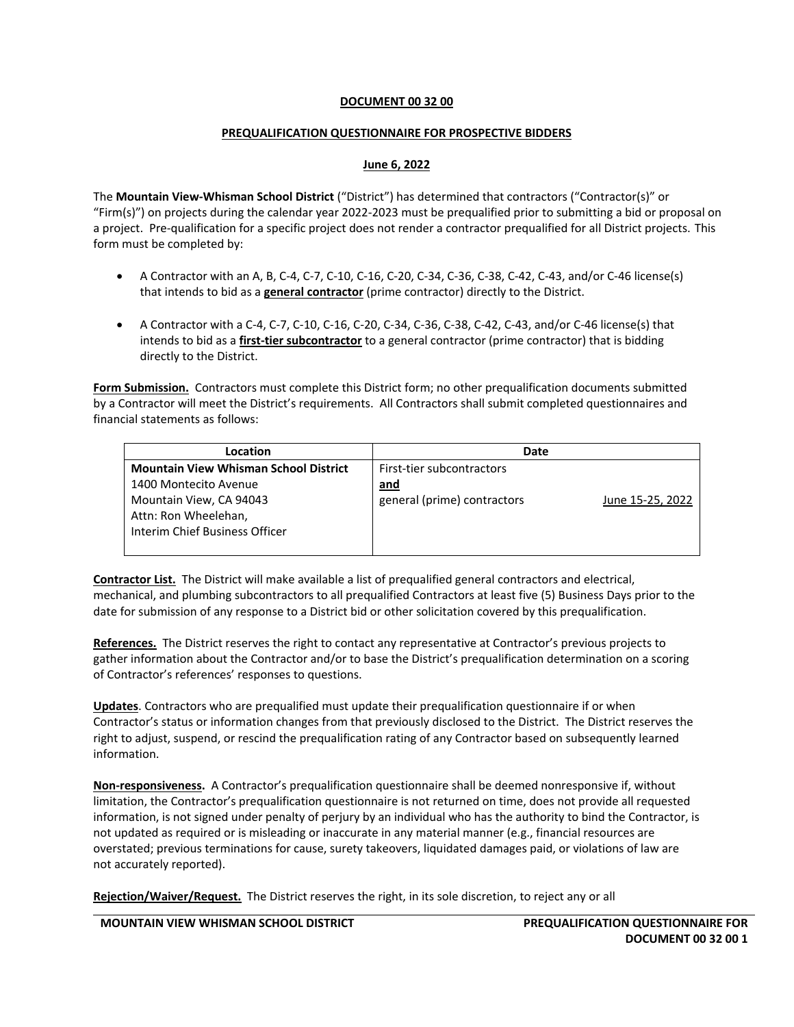### **DOCUMENT 00 32 00**

### **PREQUALIFICATION QUESTIONNAIRE FOR PROSPECTIVE BIDDERS**

### **June 6, 2022**

The **Mountain View-Whisman School District** ("District") has determined that contractors ("Contractor(s)" or "Firm(s)") on projects during the calendar year 2022-2023 must be prequalified prior to submitting a bid or proposal on a project. Pre-qualification for a specific project does not render a contractor prequalified for all District projects. This form must be completed by:

- A Contractor with an A, B, C-4, C-7, C-10, C-16, C-20, C-34, C-36, C-38, C-42, C-43, and/or C-46 license(s) that intends to bid as a **general contractor** (prime contractor) directly to the District.
- A Contractor with a C-4, C-7, C-10, C-16, C-20, C-34, C-36, C-38, C-42, C-43, and/or C-46 license(s) that intends to bid as a **first-tier subcontractor** to a general contractor (prime contractor) that is bidding directly to the District.

**Form Submission.** Contractors must complete this District form; no other prequalification documents submitted by a Contractor will meet the District's requirements. All Contractors shall submit completed questionnaires and financial statements as follows:

| Location                                     | Date                        |                  |
|----------------------------------------------|-----------------------------|------------------|
| <b>Mountain View Whisman School District</b> | First-tier subcontractors   |                  |
| 1400 Montecito Avenue                        | <u>and</u>                  |                  |
| Mountain View, CA 94043                      | general (prime) contractors | June 15-25, 2022 |
| Attn: Ron Wheelehan,                         |                             |                  |
| Interim Chief Business Officer               |                             |                  |
|                                              |                             |                  |

**Contractor List.** The District will make available a list of prequalified general contractors and electrical, mechanical, and plumbing subcontractors to all prequalified Contractors at least five (5) Business Days prior to the date for submission of any response to a District bid or other solicitation covered by this prequalification.

**References.** The District reserves the right to contact any representative at Contractor's previous projects to gather information about the Contractor and/or to base the District's prequalification determination on a scoring of Contractor's references' responses to questions.

**Updates**. Contractors who are prequalified must update their prequalification questionnaire if or when Contractor's status or information changes from that previously disclosed to the District. The District reserves the right to adjust, suspend, or rescind the prequalification rating of any Contractor based on subsequently learned information.

**Non-responsiveness.** A Contractor's prequalification questionnaire shall be deemed nonresponsive if, without limitation, the Contractor's prequalification questionnaire is not returned on time, does not provide all requested information, is not signed under penalty of perjury by an individual who has the authority to bind the Contractor, is not updated as required or is misleading or inaccurate in any material manner (e.g., financial resources are overstated; previous terminations for cause, surety takeovers, liquidated damages paid, or violations of law are not accurately reported).

**Rejection/Waiver/Request.** The District reserves the right, in its sole discretion, to reject any or all

**MOUNTAIN VIEW WHISMAN SCHOOL DISTRICT PREQUALIFICATION QUESTIONNAIRE FOR**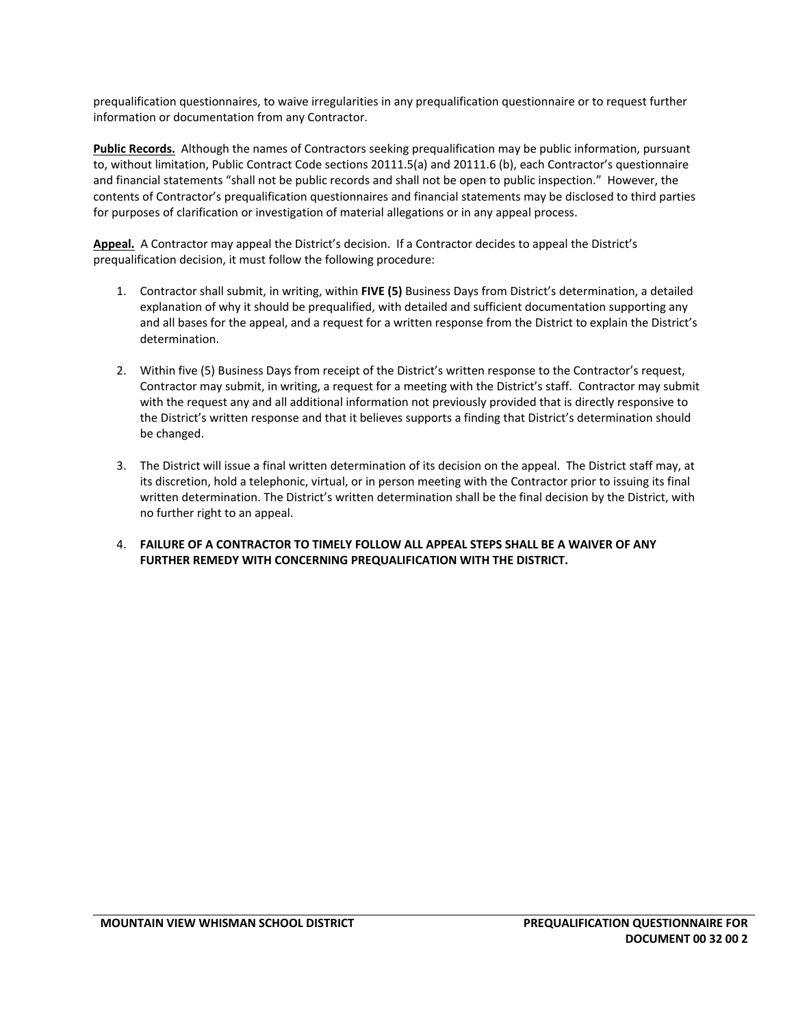prequalification questionnaires, to waive irregularities in any prequalification questionnaire or to request further information or documentation from any Contractor.

**Public Records.** Although the names of Contractors seeking prequalification may be public information, pursuant to, without limitation, Public Contract Code sections 20111.5(a) and 20111.6 (b), each Contractor's questionnaire and financial statements "shall not be public records and shall not be open to public inspection." However, the contents of Contractor's prequalification questionnaires and financial statements may be disclosed to third parties for purposes of clarification or investigation of material allegations or in any appeal process.

**Appeal.** A Contractor may appeal the District's decision. If a Contractor decides to appeal the District's prequalification decision, it must follow the following procedure:

- 1. Contractor shall submit, in writing, within **FIVE (5)** Business Days from District's determination, a detailed explanation of why it should be prequalified, with detailed and sufficient documentation supporting any and all bases for the appeal, and a request for a written response from the District to explain the District's determination.
- 2. Within five (5) Business Days from receipt of the District's written response to the Contractor's request, Contractor may submit, in writing, a request for a meeting with the District's staff. Contractor may submit with the request any and all additional information not previously provided that is directly responsive to the District's written response and that it believes supports a finding that District's determination should be changed.
- 3. The District will issue a final written determination of its decision on the appeal. The District staff may, at its discretion, hold a telephonic, virtual, or in person meeting with the Contractor prior to issuing its final written determination. The District's written determination shall be the final decision by the District, with no further right to an appeal.
- 4. **FAILURE OF A CONTRACTOR TO TIMELY FOLLOW ALL APPEAL STEPS SHALL BE A WAIVER OF ANY FURTHER REMEDY WITH CONCERNING PREQUALIFICATION WITH THE DISTRICT.**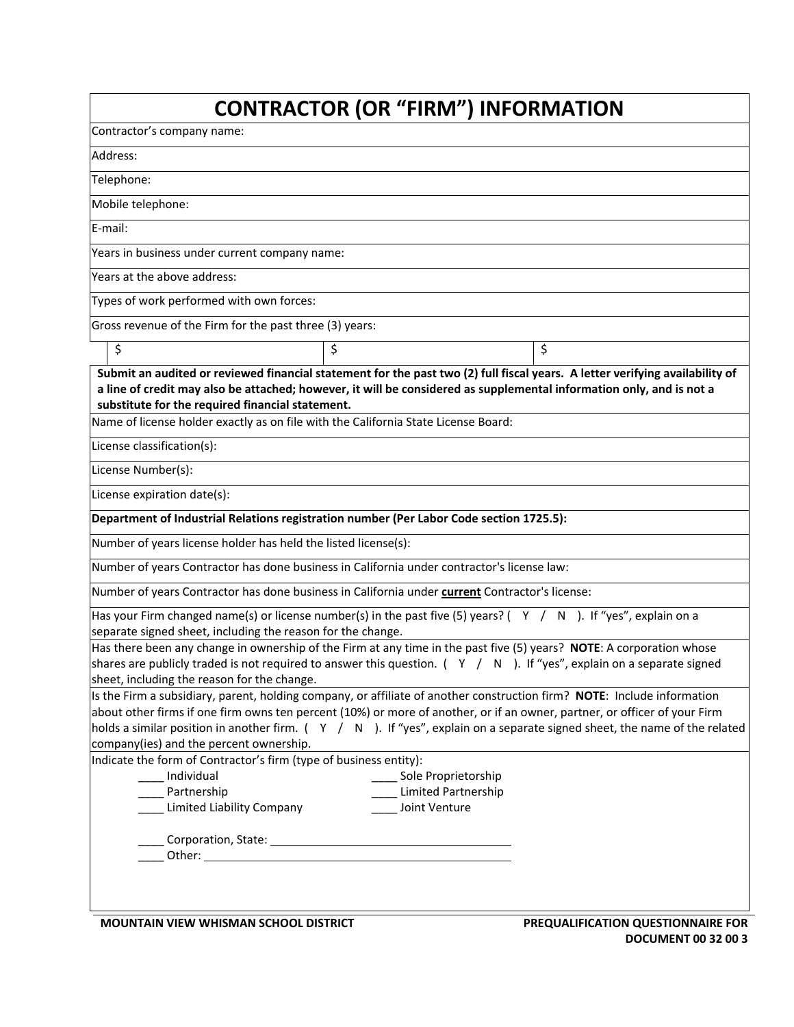|                                                                                                                                                                                                                                                                                                                                                                                                                                 | <b>CONTRACTOR (OR "FIRM") INFORMATION</b>                   |                                    |
|---------------------------------------------------------------------------------------------------------------------------------------------------------------------------------------------------------------------------------------------------------------------------------------------------------------------------------------------------------------------------------------------------------------------------------|-------------------------------------------------------------|------------------------------------|
| Contractor's company name:                                                                                                                                                                                                                                                                                                                                                                                                      |                                                             |                                    |
| Address:                                                                                                                                                                                                                                                                                                                                                                                                                        |                                                             |                                    |
| Telephone:                                                                                                                                                                                                                                                                                                                                                                                                                      |                                                             |                                    |
| Mobile telephone:                                                                                                                                                                                                                                                                                                                                                                                                               |                                                             |                                    |
| E-mail:                                                                                                                                                                                                                                                                                                                                                                                                                         |                                                             |                                    |
| Years in business under current company name:                                                                                                                                                                                                                                                                                                                                                                                   |                                                             |                                    |
| Years at the above address:                                                                                                                                                                                                                                                                                                                                                                                                     |                                                             |                                    |
| Types of work performed with own forces:                                                                                                                                                                                                                                                                                                                                                                                        |                                                             |                                    |
| Gross revenue of the Firm for the past three (3) years:                                                                                                                                                                                                                                                                                                                                                                         |                                                             |                                    |
| \$                                                                                                                                                                                                                                                                                                                                                                                                                              | \$                                                          | \$                                 |
| Submit an audited or reviewed financial statement for the past two (2) full fiscal years. A letter verifying availability of<br>a line of credit may also be attached; however, it will be considered as supplemental information only, and is not a<br>substitute for the required financial statement.<br>Name of license holder exactly as on file with the California State License Board:                                  |                                                             |                                    |
| License classification(s):                                                                                                                                                                                                                                                                                                                                                                                                      |                                                             |                                    |
| License Number(s):                                                                                                                                                                                                                                                                                                                                                                                                              |                                                             |                                    |
| License expiration date(s):                                                                                                                                                                                                                                                                                                                                                                                                     |                                                             |                                    |
| Department of Industrial Relations registration number (Per Labor Code section 1725.5):                                                                                                                                                                                                                                                                                                                                         |                                                             |                                    |
| Number of years license holder has held the listed license(s):                                                                                                                                                                                                                                                                                                                                                                  |                                                             |                                    |
| Number of years Contractor has done business in California under contractor's license law:                                                                                                                                                                                                                                                                                                                                      |                                                             |                                    |
| Number of years Contractor has done business in California under current Contractor's license:                                                                                                                                                                                                                                                                                                                                  |                                                             |                                    |
| Has your Firm changed name(s) or license number(s) in the past five (5) years? ( $Y / N$ ). If "yes", explain on a                                                                                                                                                                                                                                                                                                              |                                                             |                                    |
| separate signed sheet, including the reason for the change.                                                                                                                                                                                                                                                                                                                                                                     |                                                             |                                    |
| Has there been any change in ownership of the Firm at any time in the past five (5) years? NOTE: A corporation whose<br>shares are publicly traded is not required to answer this question. $( Y / N)$ . If "yes", explain on a separate signed<br>sheet, including the reason for the change.                                                                                                                                  |                                                             |                                    |
| Is the Firm a subsidiary, parent, holding company, or affiliate of another construction firm? NOTE: Include information<br>about other firms if one firm owns ten percent (10%) or more of another, or if an owner, partner, or officer of your Firm<br>holds a similar position in another firm. $( Y / N)$ . If "yes", explain on a separate signed sheet, the name of the related<br>company(ies) and the percent ownership. |                                                             |                                    |
| Indicate the form of Contractor's firm (type of business entity):<br>Individual<br>Partnership<br>Limited Liability Company                                                                                                                                                                                                                                                                                                     | Sole Proprietorship<br>Limited Partnership<br>Joint Venture |                                    |
|                                                                                                                                                                                                                                                                                                                                                                                                                                 |                                                             |                                    |
| <b>MOUNTAIN VIEW WHISMAN SCHOOL DISTRICT</b>                                                                                                                                                                                                                                                                                                                                                                                    |                                                             | PREQUALIFICATION QUESTIONNAIRE FOR |

**DOCUMENT 00 32 00 3**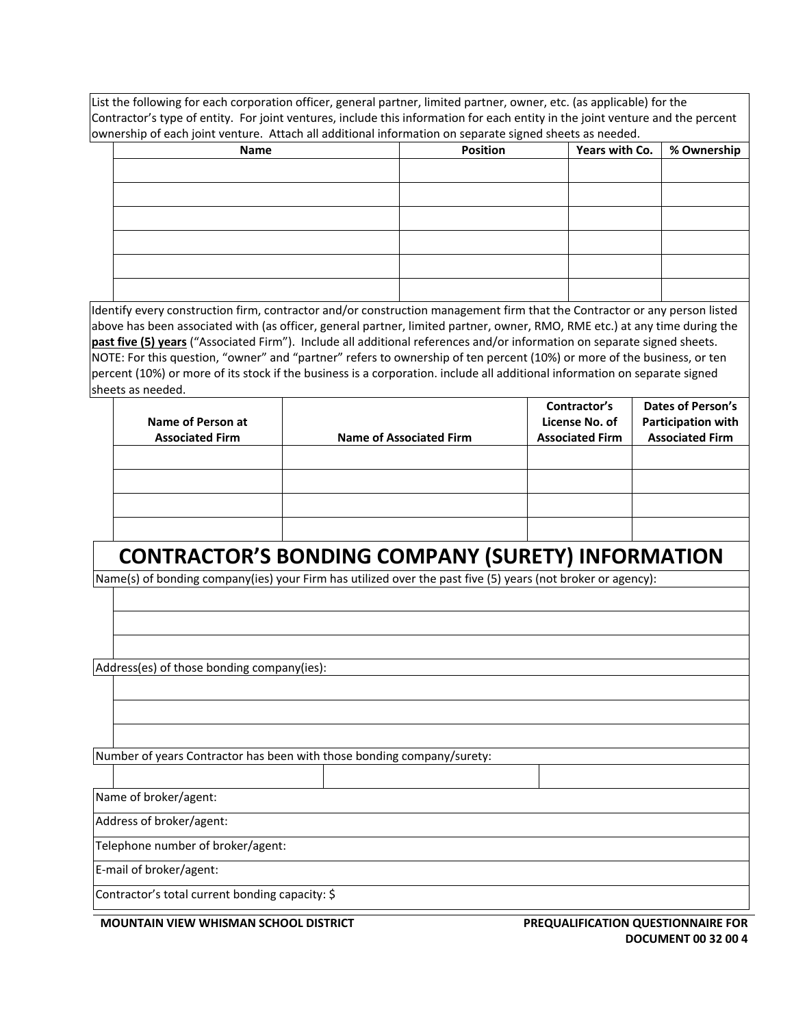List the following for each corporation officer, general partner, limited partner, owner, etc. (as applicable) for the Contractor's type of entity. For joint ventures, include this information for each entity in the joint venture and the percent  $\sim$  ownership of each joint venture. Attach all additional information on separate signed sheets as needed.

| Name | Position | Years with Co.   % Ownership |  |
|------|----------|------------------------------|--|
|      |          |                              |  |
|      |          |                              |  |
|      |          |                              |  |
|      |          |                              |  |
|      |          |                              |  |
|      |          |                              |  |
|      |          |                              |  |
|      |          |                              |  |
|      |          |                              |  |
|      |          |                              |  |
|      |          |                              |  |
|      |          |                              |  |

Identify every construction firm, contractor and/or construction management firm that the Contractor or any person listed above has been associated with (as officer, general partner, limited partner, owner, RMO, RME etc.) at any time during the **past five (5) years** ("Associated Firm"). Include all additional references and/or information on separate signed sheets. NOTE: For this question, "owner" and "partner" refers to ownership of ten percent (10%) or more of the business, or ten percent (10%) or more of its stock if the business is a corporation. include all additional information on separate signed sheets as needed.

| Name of Person at      |                                | Contractor's<br>License No. of | <b>Dates of Person's</b><br><b>Participation with</b> |
|------------------------|--------------------------------|--------------------------------|-------------------------------------------------------|
| <b>Associated Firm</b> | <b>Name of Associated Firm</b> | <b>Associated Firm</b>         | <b>Associated Firm</b>                                |
|                        |                                |                                |                                                       |
|                        |                                |                                |                                                       |
|                        |                                |                                |                                                       |
|                        |                                |                                |                                                       |

# **CONTRACTOR'S BONDING COMPANY (SURETY) INFORMATION**

Name(s) of bonding company(ies) your Firm has utilized over the past five (5) years (not broker or agency):

Address(es) of those bonding company(ies):

Number of years Contractor has been with those bonding company/surety:

Name of broker/agent:

Address of broker/agent:

Telephone number of broker/agent:

E-mail of broker/agent:

Contractor's total current bonding capacity: \$

**MOUNTAIN VIEW WHISMAN SCHOOL DISTRICT PREQUALIFICATION QUESTIONNAIRE FOR** 

**DOCUMENT 00 32 00 4**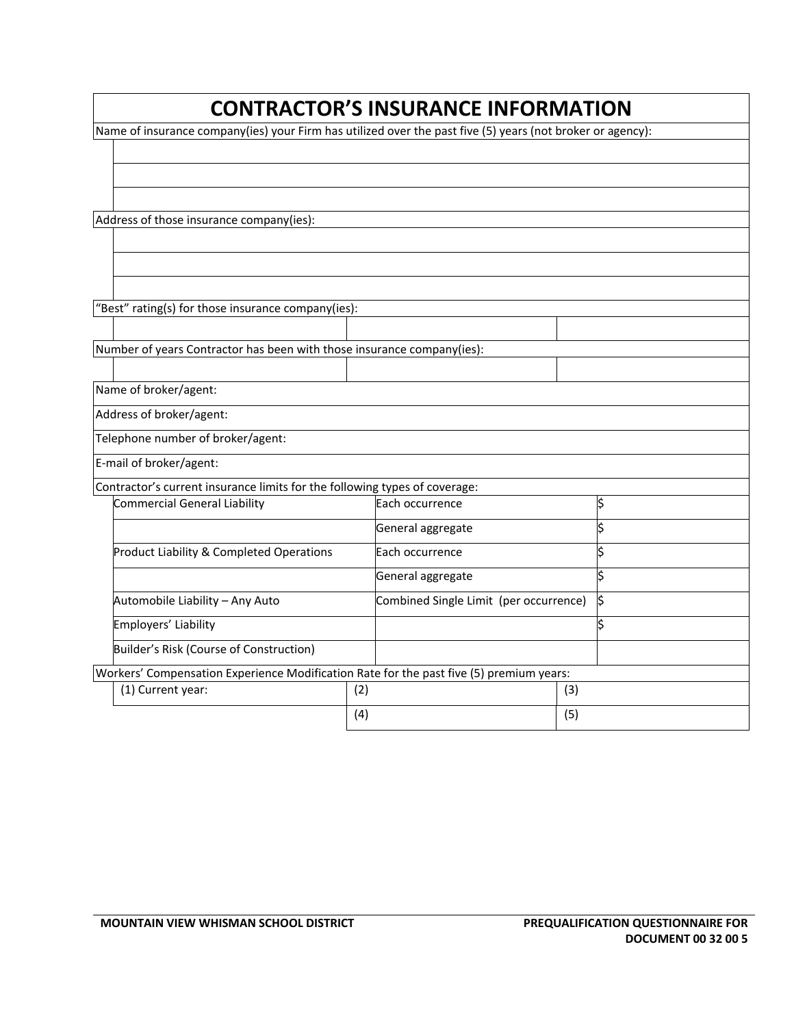### **CONTRACTOR'S INSURANCE INFORMATION**

Name of insurance company(ies) your Firm has utilized over the past five (5) years (not broker or agency):

Address of those insurance company(ies):

"Best" rating(s) for those insurance company(ies):

Number of years Contractor has been with those insurance company(ies):

Name of broker/agent:

Address of broker/agent:

Telephone number of broker/agent:

E-mail of broker/agent:

Contractor's current insurance limits for the following types of coverage:

| contractor is carrent modiance mints for the following types or coverage.               |     |                                        |     |  |
|-----------------------------------------------------------------------------------------|-----|----------------------------------------|-----|--|
| Commercial General Liability                                                            |     | Each occurrence                        |     |  |
|                                                                                         |     | General aggregate                      |     |  |
| <b>Product Liability &amp; Completed Operations</b>                                     |     | Each occurrence                        |     |  |
|                                                                                         |     | General aggregate                      |     |  |
| Automobile Liability - Any Auto                                                         |     | Combined Single Limit (per occurrence) |     |  |
| Employers' Liability                                                                    |     |                                        |     |  |
| Builder's Risk (Course of Construction)                                                 |     |                                        |     |  |
| Workers' Compensation Experience Modification Rate for the past five (5) premium years: |     |                                        |     |  |
| (1) Current year:                                                                       | (2) |                                        | (3) |  |
|                                                                                         | (4) |                                        | (5) |  |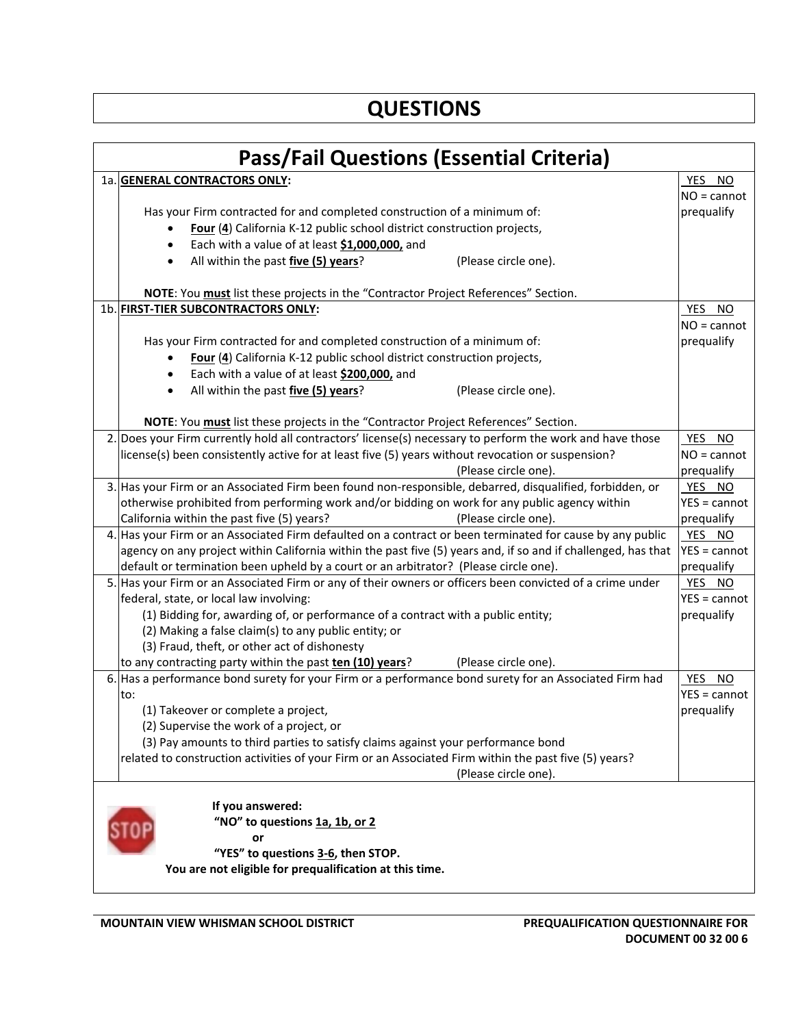# **QUESTIONS**

| <b>Pass/Fail Questions (Essential Criteria)</b> |                                                                                                               |                |  |  |
|-------------------------------------------------|---------------------------------------------------------------------------------------------------------------|----------------|--|--|
|                                                 | 1a. GENERAL CONTRACTORS ONLY:                                                                                 | YES NO         |  |  |
|                                                 |                                                                                                               | $NO = cannot$  |  |  |
|                                                 | Has your Firm contracted for and completed construction of a minimum of:                                      | prequalify     |  |  |
|                                                 | Four (4) California K-12 public school district construction projects,                                        |                |  |  |
|                                                 | Each with a value of at least \$1,000,000, and                                                                |                |  |  |
|                                                 | All within the past five (5) years?<br>(Please circle one).<br>$\bullet$                                      |                |  |  |
|                                                 |                                                                                                               |                |  |  |
|                                                 | NOTE: You must list these projects in the "Contractor Project References" Section.                            |                |  |  |
|                                                 | 1b. FIRST-TIER SUBCONTRACTORS ONLY:                                                                           | YES NO         |  |  |
|                                                 |                                                                                                               | $NO = cannot$  |  |  |
|                                                 | Has your Firm contracted for and completed construction of a minimum of:                                      | prequalify     |  |  |
|                                                 | Four (4) California K-12 public school district construction projects,                                        |                |  |  |
|                                                 | Each with a value of at least \$200,000, and<br>$\bullet$                                                     |                |  |  |
|                                                 | All within the past five (5) years?<br>(Please circle one).<br>$\bullet$                                      |                |  |  |
|                                                 |                                                                                                               |                |  |  |
|                                                 | NOTE: You must list these projects in the "Contractor Project References" Section.                            |                |  |  |
|                                                 | 2. Does your Firm currently hold all contractors' license(s) necessary to perform the work and have those     | YES NO         |  |  |
|                                                 | license(s) been consistently active for at least five (5) years without revocation or suspension?             | $NO = cannot$  |  |  |
|                                                 | (Please circle one).                                                                                          | prequalify     |  |  |
|                                                 | 3. Has your Firm or an Associated Firm been found non-responsible, debarred, disqualified, forbidden, or      | YES NO         |  |  |
|                                                 | otherwise prohibited from performing work and/or bidding on work for any public agency within                 | $YES = cannot$ |  |  |
|                                                 | California within the past five (5) years?<br>(Please circle one).                                            | prequalify     |  |  |
|                                                 | 4. Has your Firm or an Associated Firm defaulted on a contract or been terminated for cause by any public     | YES NO         |  |  |
|                                                 | agency on any project within California within the past five (5) years and, if so and if challenged, has that | YES = cannot   |  |  |
|                                                 | default or termination been upheld by a court or an arbitrator? (Please circle one).                          | prequalify     |  |  |
|                                                 | 5. Has your Firm or an Associated Firm or any of their owners or officers been convicted of a crime under     | YES NO         |  |  |
|                                                 | federal, state, or local law involving:                                                                       | $YES = cannot$ |  |  |
|                                                 | (1) Bidding for, awarding of, or performance of a contract with a public entity;                              | prequalify     |  |  |
|                                                 | (2) Making a false claim(s) to any public entity; or                                                          |                |  |  |
|                                                 | (3) Fraud, theft, or other act of dishonesty                                                                  |                |  |  |
|                                                 | to any contracting party within the past ten (10) years?<br>(Please circle one).                              |                |  |  |
|                                                 | 6. Has a performance bond surety for your Firm or a performance bond surety for an Associated Firm had        | YES NO         |  |  |
|                                                 | to:                                                                                                           | $YES = cannot$ |  |  |
|                                                 | (1) Takeover or complete a project,                                                                           | prequalify     |  |  |
|                                                 | (2) Supervise the work of a project, or                                                                       |                |  |  |
|                                                 | (3) Pay amounts to third parties to satisfy claims against your performance bond                              |                |  |  |
|                                                 | related to construction activities of your Firm or an Associated Firm within the past five (5) years?         |                |  |  |
|                                                 | (Please circle one).                                                                                          |                |  |  |
|                                                 | If you answered:                                                                                              |                |  |  |
|                                                 | "NO" to questions 1a, 1b, or 2                                                                                |                |  |  |
|                                                 | or                                                                                                            |                |  |  |
|                                                 | "YES" to questions 3-6, then STOP.                                                                            |                |  |  |
|                                                 | You are not eligible for prequalification at this time.                                                       |                |  |  |
|                                                 |                                                                                                               |                |  |  |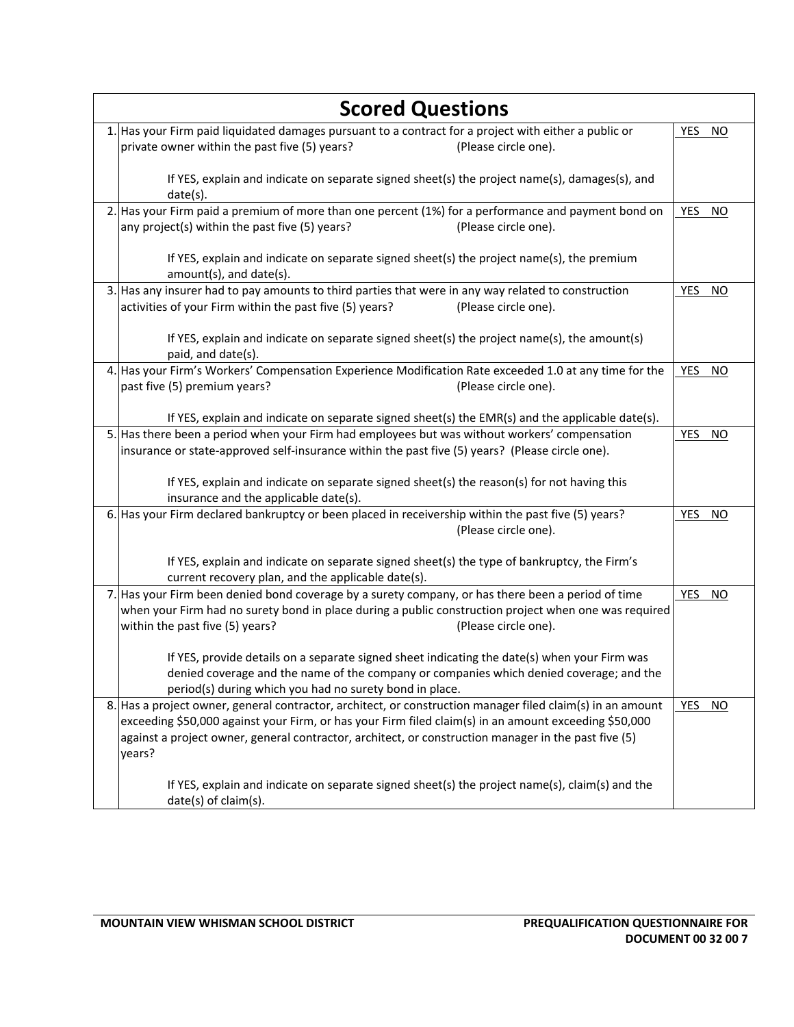| <b>Scored Questions</b>                                                                                                                                                                                                                                                                                                               |                         |  |
|---------------------------------------------------------------------------------------------------------------------------------------------------------------------------------------------------------------------------------------------------------------------------------------------------------------------------------------|-------------------------|--|
| 1. Has your Firm paid liquidated damages pursuant to a contract for a project with either a public or<br>private owner within the past five (5) years?<br>(Please circle one).                                                                                                                                                        | YES NO                  |  |
| If YES, explain and indicate on separate signed sheet(s) the project name(s), damages(s), and<br>date(s).                                                                                                                                                                                                                             |                         |  |
| 2. Has your Firm paid a premium of more than one percent (1%) for a performance and payment bond on<br>any project(s) within the past five (5) years?<br>(Please circle one).                                                                                                                                                         | YES<br>NO               |  |
| If YES, explain and indicate on separate signed sheet(s) the project name(s), the premium<br>amount(s), and date(s).                                                                                                                                                                                                                  |                         |  |
| 3. Has any insurer had to pay amounts to third parties that were in any way related to construction<br>activities of your Firm within the past five (5) years?<br>(Please circle one).                                                                                                                                                | YES<br>NO               |  |
| If YES, explain and indicate on separate signed sheet(s) the project name(s), the amount(s)<br>paid, and date(s).                                                                                                                                                                                                                     |                         |  |
| 4. Has your Firm's Workers' Compensation Experience Modification Rate exceeded 1.0 at any time for the<br>past five (5) premium years?<br>(Please circle one).                                                                                                                                                                        | YES<br><b>NO</b>        |  |
| If YES, explain and indicate on separate signed sheet(s) the EMR(s) and the applicable date(s).                                                                                                                                                                                                                                       |                         |  |
| 5. Has there been a period when your Firm had employees but was without workers' compensation<br>insurance or state-approved self-insurance within the past five (5) years? (Please circle one).                                                                                                                                      | <b>YES</b><br><b>NO</b> |  |
| If YES, explain and indicate on separate signed sheet(s) the reason(s) for not having this<br>insurance and the applicable date(s).                                                                                                                                                                                                   |                         |  |
| 6. Has your Firm declared bankruptcy or been placed in receivership within the past five (5) years?<br>(Please circle one).                                                                                                                                                                                                           | YES<br><b>NO</b>        |  |
| If YES, explain and indicate on separate signed sheet(s) the type of bankruptcy, the Firm's<br>current recovery plan, and the applicable date(s).                                                                                                                                                                                     |                         |  |
| 7. Has your Firm been denied bond coverage by a surety company, or has there been a period of time<br>when your Firm had no surety bond in place during a public construction project when one was required<br>within the past five (5) years?<br>(Please circle one).                                                                | YES NO                  |  |
| If YES, provide details on a separate signed sheet indicating the date(s) when your Firm was<br>denied coverage and the name of the company or companies which denied coverage; and the<br>period(s) during which you had no surety bond in place.                                                                                    |                         |  |
| 8. Has a project owner, general contractor, architect, or construction manager filed claim(s) in an amount<br>exceeding \$50,000 against your Firm, or has your Firm filed claim(s) in an amount exceeding \$50,000<br>against a project owner, general contractor, architect, or construction manager in the past five (5)<br>years? | YES<br>NO               |  |
| If YES, explain and indicate on separate signed sheet(s) the project name(s), claim(s) and the<br>date(s) of claim(s).                                                                                                                                                                                                                |                         |  |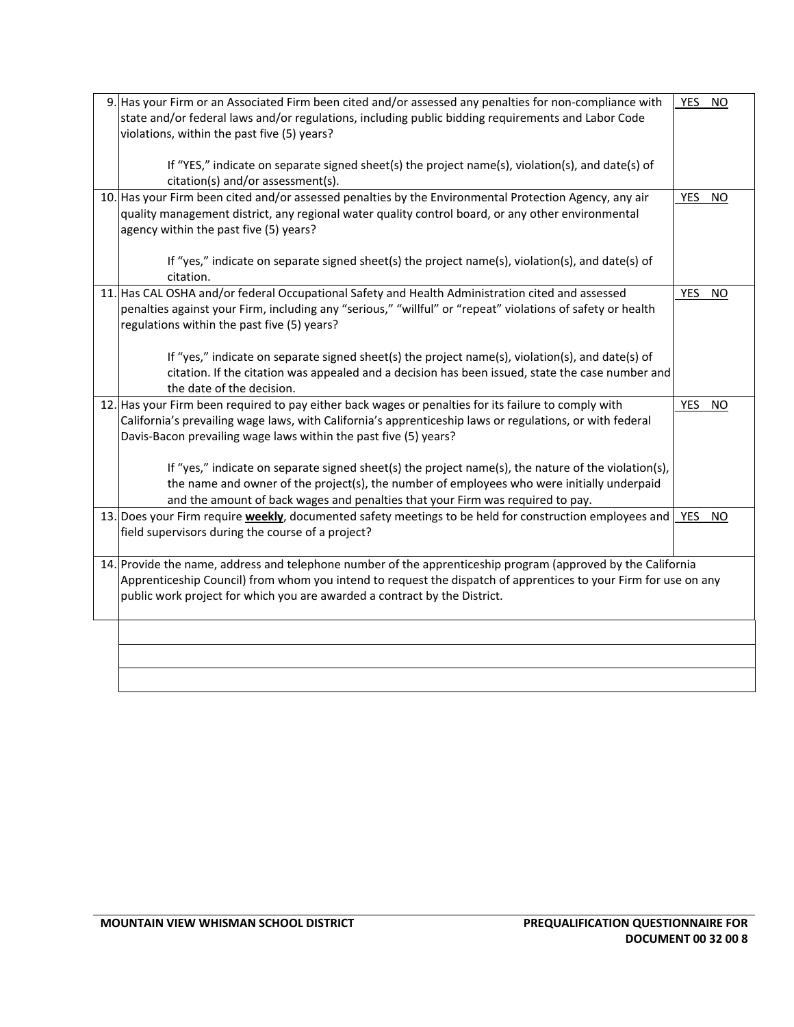| 9. Has your Firm or an Associated Firm been cited and/or assessed any penalties for non-compliance with         | YES NO                  |
|-----------------------------------------------------------------------------------------------------------------|-------------------------|
| state and/or federal laws and/or regulations, including public bidding requirements and Labor Code              |                         |
| violations, within the past five (5) years?                                                                     |                         |
|                                                                                                                 |                         |
| If "YES," indicate on separate signed sheet(s) the project name(s), violation(s), and date(s) of                |                         |
| citation(s) and/or assessment(s).                                                                               |                         |
| 10. Has your Firm been cited and/or assessed penalties by the Environmental Protection Agency, any air          | YES NO                  |
| quality management district, any regional water quality control board, or any other environmental               |                         |
| agency within the past five (5) years?                                                                          |                         |
|                                                                                                                 |                         |
| If "yes," indicate on separate signed sheet(s) the project name(s), violation(s), and date(s) of                |                         |
| citation.                                                                                                       |                         |
| 11. Has CAL OSHA and/or federal Occupational Safety and Health Administration cited and assessed                | <b>YES</b><br><b>NO</b> |
| penalties against your Firm, including any "serious," "willful" or "repeat" violations of safety or health      |                         |
| regulations within the past five (5) years?                                                                     |                         |
|                                                                                                                 |                         |
| If "yes," indicate on separate signed sheet(s) the project name(s), violation(s), and date(s) of                |                         |
| citation. If the citation was appealed and a decision has been issued, state the case number and                |                         |
| the date of the decision.                                                                                       |                         |
|                                                                                                                 |                         |
| 12. Has your Firm been required to pay either back wages or penalties for its failure to comply with            | <b>YES</b><br><b>NO</b> |
| California's prevailing wage laws, with California's apprenticeship laws or regulations, or with federal        |                         |
| Davis-Bacon prevailing wage laws within the past five (5) years?                                                |                         |
|                                                                                                                 |                         |
| If "yes," indicate on separate signed sheet(s) the project name(s), the nature of the violation(s),             |                         |
| the name and owner of the project(s), the number of employees who were initially underpaid                      |                         |
| and the amount of back wages and penalties that your Firm was required to pay.                                  |                         |
| 13. Does your Firm require weekly, documented safety meetings to be held for construction employees and         | <b>YES</b><br><b>NO</b> |
| field supervisors during the course of a project?                                                               |                         |
|                                                                                                                 |                         |
| 14. Provide the name, address and telephone number of the apprenticeship program (approved by the California    |                         |
| Apprenticeship Council) from whom you intend to request the dispatch of apprentices to your Firm for use on any |                         |
| public work project for which you are awarded a contract by the District.                                       |                         |
|                                                                                                                 |                         |
|                                                                                                                 |                         |
|                                                                                                                 |                         |
|                                                                                                                 |                         |
|                                                                                                                 |                         |